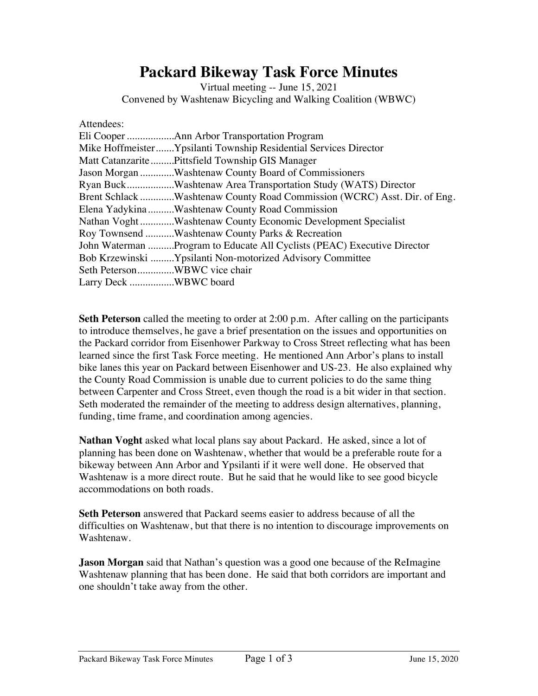## **Packard Bikeway Task Force Minutes**

Virtual meeting -- June 15, 2021 Convened by Washtenaw Bicycling and Walking Coalition (WBWC)

| Attendees:                                                               |
|--------------------------------------------------------------------------|
|                                                                          |
| Mike HoffmeisterYpsilanti Township Residential Services Director         |
| Matt Catanzarite  Pittsfield Township GIS Manager                        |
| Jason Morgan Washtenaw County Board of Commissioners                     |
| Ryan BuckWashtenaw Area Transportation Study (WATS) Director             |
| Brent Schlack Washtenaw County Road Commission (WCRC) Asst. Dir. of Eng. |
| Elena Yadykina Washtenaw County Road Commission                          |
| Nathan VoghtWashtenaw County Economic Development Specialist             |
| Roy Townsend Washtenaw County Parks & Recreation                         |
| John Waterman Program to Educate All Cyclists (PEAC) Executive Director  |
| Bob Krzewinski Ypsilanti Non-motorized Advisory Committee                |
| Seth PetersonWBWC vice chair                                             |
| Larry Deck WBWC board                                                    |

**Seth Peterson** called the meeting to order at 2:00 p.m. After calling on the participants to introduce themselves, he gave a brief presentation on the issues and opportunities on the Packard corridor from Eisenhower Parkway to Cross Street reflecting what has been learned since the first Task Force meeting. He mentioned Ann Arbor's plans to install bike lanes this year on Packard between Eisenhower and US-23. He also explained why the County Road Commission is unable due to current policies to do the same thing between Carpenter and Cross Street, even though the road is a bit wider in that section. Seth moderated the remainder of the meeting to address design alternatives, planning, funding, time frame, and coordination among agencies.

**Nathan Voght** asked what local plans say about Packard. He asked, since a lot of planning has been done on Washtenaw, whether that would be a preferable route for a bikeway between Ann Arbor and Ypsilanti if it were well done. He observed that Washtenaw is a more direct route. But he said that he would like to see good bicycle accommodations on both roads.

**Seth Peterson** answered that Packard seems easier to address because of all the difficulties on Washtenaw, but that there is no intention to discourage improvements on Washtenaw.

**Jason Morgan** said that Nathan's question was a good one because of the ReImagine Washtenaw planning that has been done. He said that both corridors are important and one shouldn't take away from the other.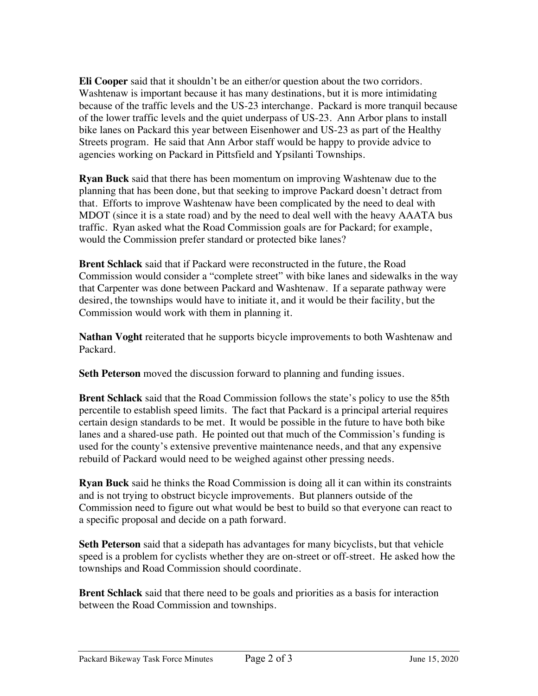**Eli Cooper** said that it shouldn't be an either/or question about the two corridors. Washtenaw is important because it has many destinations, but it is more intimidating because of the traffic levels and the US-23 interchange. Packard is more tranquil because of the lower traffic levels and the quiet underpass of US-23. Ann Arbor plans to install bike lanes on Packard this year between Eisenhower and US-23 as part of the Healthy Streets program. He said that Ann Arbor staff would be happy to provide advice to agencies working on Packard in Pittsfield and Ypsilanti Townships.

**Ryan Buck** said that there has been momentum on improving Washtenaw due to the planning that has been done, but that seeking to improve Packard doesn't detract from that. Efforts to improve Washtenaw have been complicated by the need to deal with MDOT (since it is a state road) and by the need to deal well with the heavy AAATA bus traffic. Ryan asked what the Road Commission goals are for Packard; for example, would the Commission prefer standard or protected bike lanes?

**Brent Schlack** said that if Packard were reconstructed in the future, the Road Commission would consider a "complete street" with bike lanes and sidewalks in the way that Carpenter was done between Packard and Washtenaw. If a separate pathway were desired, the townships would have to initiate it, and it would be their facility, but the Commission would work with them in planning it.

**Nathan Voght** reiterated that he supports bicycle improvements to both Washtenaw and Packard.

**Seth Peterson** moved the discussion forward to planning and funding issues.

**Brent Schlack** said that the Road Commission follows the state's policy to use the 85th percentile to establish speed limits. The fact that Packard is a principal arterial requires certain design standards to be met. It would be possible in the future to have both bike lanes and a shared-use path. He pointed out that much of the Commission's funding is used for the county's extensive preventive maintenance needs, and that any expensive rebuild of Packard would need to be weighed against other pressing needs.

**Ryan Buck** said he thinks the Road Commission is doing all it can within its constraints and is not trying to obstruct bicycle improvements. But planners outside of the Commission need to figure out what would be best to build so that everyone can react to a specific proposal and decide on a path forward.

**Seth Peterson** said that a sidepath has advantages for many bicyclists, but that vehicle speed is a problem for cyclists whether they are on-street or off-street. He asked how the townships and Road Commission should coordinate.

**Brent Schlack** said that there need to be goals and priorities as a basis for interaction between the Road Commission and townships.